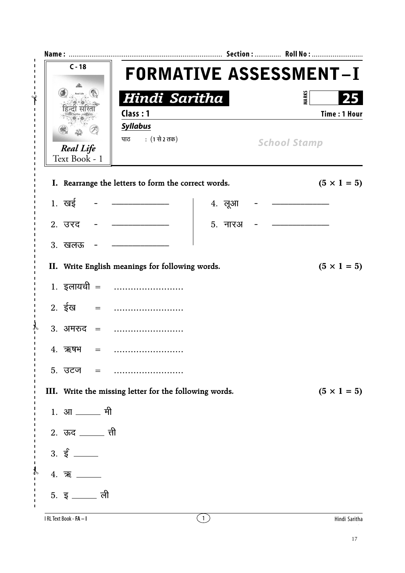| $C - 18$                                                                                                                                                                                                                                                                                                                                             | <b>FORMATIVE ASSESSMENT-I</b>                                     |                  |                                     |                     |  |
|------------------------------------------------------------------------------------------------------------------------------------------------------------------------------------------------------------------------------------------------------------------------------------------------------------------------------------------------------|-------------------------------------------------------------------|------------------|-------------------------------------|---------------------|--|
| Real Life<br><b>Real Life</b><br>Text Book - 1                                                                                                                                                                                                                                                                                                       | Hindi Saritha<br>Class: 1<br><b>Syllabus</b><br>पाठ : (1 से 2 तक) |                  | <b>MARKS</b><br><b>School Stamp</b> | <b>Time: 1 Hour</b> |  |
|                                                                                                                                                                                                                                                                                                                                                      | I. Rearrange the letters to form the correct words.               |                  |                                     | $(5 \times 1 = 5)$  |  |
| 1. $\overline{u}$ = $\overline{u}$ = $\overline{u}$ = $\overline{u}$ = $\overline{u}$ = $\overline{u}$ = $\overline{u}$ = $\overline{u}$ = $\overline{u}$ = $\overline{u}$ = $\overline{u}$ = $\overline{u}$ = $\overline{u}$ = $\overline{u}$ = $\overline{u}$ = $\overline{u}$ = $\overline{u}$ = $\overline{u}$ = $\overline{u}$ = $\overline{u}$ |                                                                   | 4. लूआ           |                                     |                     |  |
| 2. उरद                                                                                                                                                                                                                                                                                                                                               |                                                                   | 5. नारअ          |                                     |                     |  |
| 3. खलऊ                                                                                                                                                                                                                                                                                                                                               |                                                                   |                  |                                     |                     |  |
|                                                                                                                                                                                                                                                                                                                                                      | II. Write English meanings for following words.                   |                  |                                     | $(5 \times 1 = 5)$  |  |
|                                                                                                                                                                                                                                                                                                                                                      | 1. इलायची =                                                       |                  |                                     |                     |  |
|                                                                                                                                                                                                                                                                                                                                                      |                                                                   |                  |                                     |                     |  |
|                                                                                                                                                                                                                                                                                                                                                      | 3. अमरुद =                                                        |                  |                                     |                     |  |
| 4. ऋषभ<br>$=$                                                                                                                                                                                                                                                                                                                                        |                                                                   |                  |                                     |                     |  |
| 5. उटज<br>$=$                                                                                                                                                                                                                                                                                                                                        |                                                                   |                  |                                     |                     |  |
|                                                                                                                                                                                                                                                                                                                                                      | III. Write the missing letter for the following words.            |                  |                                     | $(5 \times 1 = 5)$  |  |
| 1. आ ______ मी                                                                                                                                                                                                                                                                                                                                       |                                                                   |                  |                                     |                     |  |
| 2. ऊद <u>______</u> ती                                                                                                                                                                                                                                                                                                                               |                                                                   |                  |                                     |                     |  |
|                                                                                                                                                                                                                                                                                                                                                      |                                                                   |                  |                                     |                     |  |
| 4.77                                                                                                                                                                                                                                                                                                                                                 |                                                                   |                  |                                     |                     |  |
| 5. इ $\frac{1}{2}$ ली                                                                                                                                                                                                                                                                                                                                |                                                                   |                  |                                     |                     |  |
| I RL Text Book - FA - I                                                                                                                                                                                                                                                                                                                              |                                                                   | $\left(1\right)$ |                                     | Hindi Saritha       |  |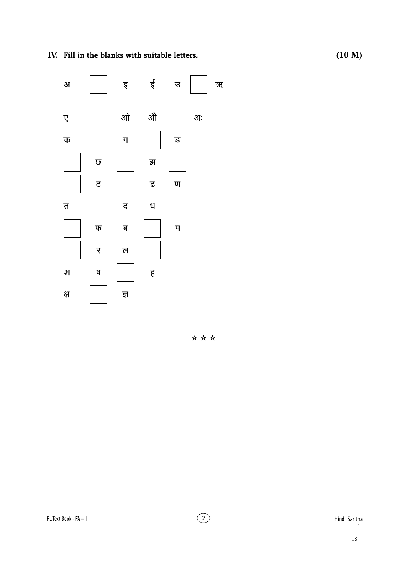IV. Fill in the blanks with suitable letters.

ई इ 31  $\overline{B}$ औ ओ अः  $\overline{\mathbf{y}}$  $\overline{u}$ ङ क  $\overline{\omega}$ झ ढ  $\overline{\mathtt{c}}$  $\overline{u}$  $\overline{D}$ द ध म $\overline{a}$  $\Psi$ ब र ल श ष  $\overline{\xi}$ क्ष ज्ञ

\*\*\*

ক্ষ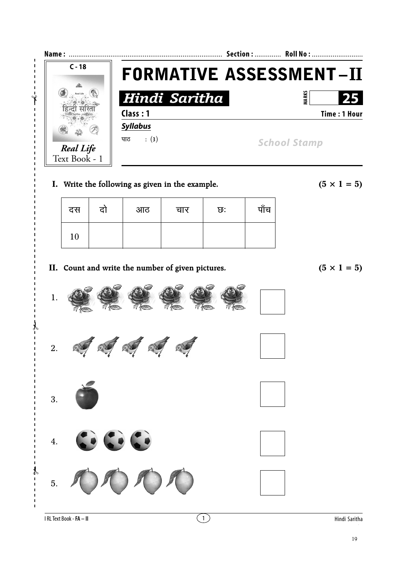

**I.** Write the following as given in the example.  $(5 \times 1 = 5)$ 

| दस | दो | आठ | चार | ত: | पाँच |
|----|----|----|-----|----|------|
| 10 |    |    |     |    |      |

**II.** Count and write the number of given pictures.  $(5 \times 1 = 5)$ 

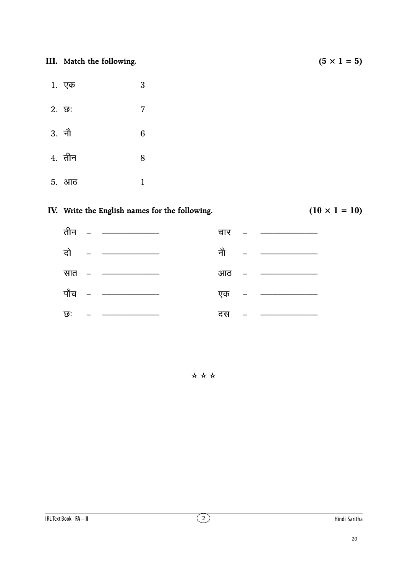**III.** Match the following.  $(5 \times 1 = 5)$ 

- $1.$  एक  $3$
- $2. \t{5}: \t{7}$
- $3. \hat{ }$ नौ $6$
- $4.$  तीन  $8$
- $5.$  आठ  $1$

## **IV.** Write the English names for the following.  $(10 \times 1 = 10)$



✫ ✫ ✫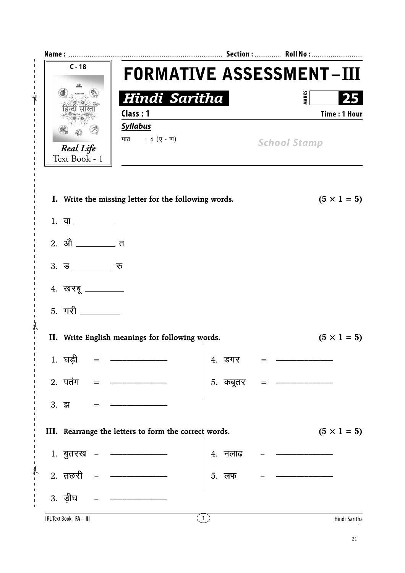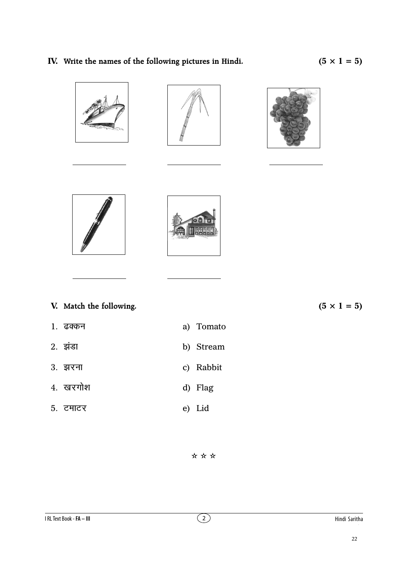## IV. Write the names of the following pictures in Hindi.











V. Match the following.

- 1. ढक्कन
- 2. इंडा b) Stream
- 3. झरना c) Rabbit
- 4. खरगोश d) Flag
- 5. टमाटर e) Lid

 $(5 \times 1 = 5)$ 

\*\*\*

a) Tomato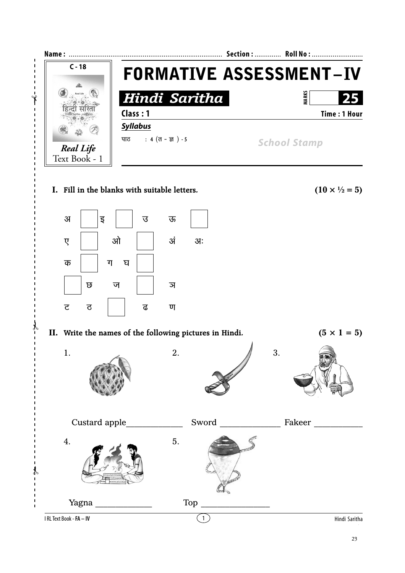